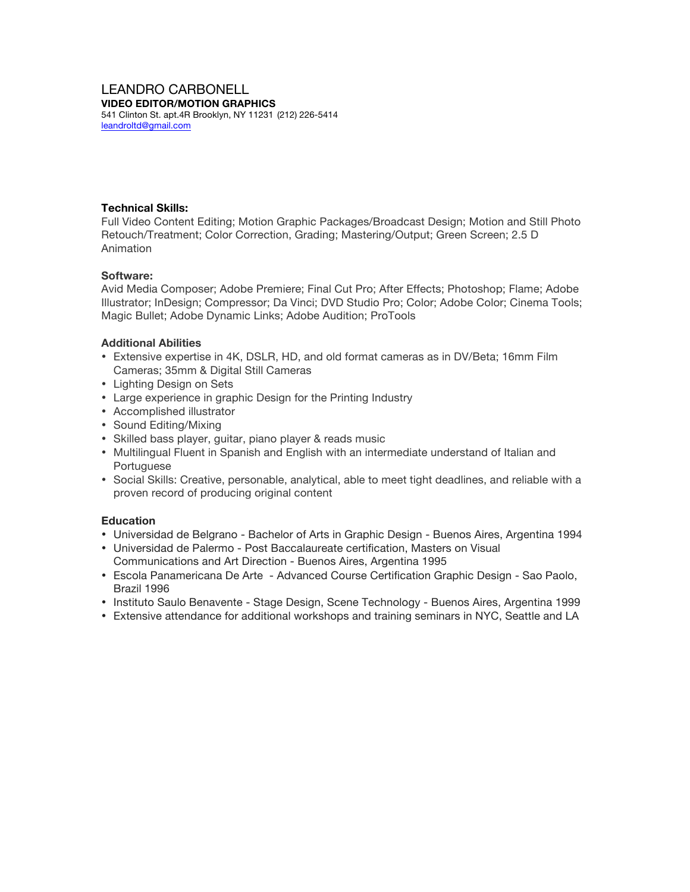#### LEANDRO CARBONELL **VIDEO EDITOR/MOTION GRAPHICS**

541 Clinton St. apt.4R Brooklyn, NY 11231 (212) 226-5414 leandroltd@gmail.com

### **Technical Skills:**

Full Video Content Editing; Motion Graphic Packages/Broadcast Design; Motion and Still Photo Retouch/Treatment; Color Correction, Grading; Mastering/Output; Green Screen; 2.5 D Animation

## **Software:**

Avid Media Composer; Adobe Premiere; Final Cut Pro; After Effects; Photoshop; Flame; Adobe Illustrator; InDesign; Compressor; Da Vinci; DVD Studio Pro; Color; Adobe Color; Cinema Tools; Magic Bullet; Adobe Dynamic Links; Adobe Audition; ProTools

## **Additional Abilities**

- Extensive expertise in 4K, DSLR, HD, and old format cameras as in DV/Beta; 16mm Film Cameras; 35mm & Digital Still Cameras
- Lighting Design on Sets
- Large experience in graphic Design for the Printing Industry
- Accomplished illustrator
- Sound Editing/Mixing
- Skilled bass player, guitar, piano player & reads music
- Multilingual Fluent in Spanish and English with an intermediate understand of Italian and Portuguese
- Social Skills: Creative, personable, analytical, able to meet tight deadlines, and reliable with a proven record of producing original content

## **Education**

- Universidad de Belgrano Bachelor of Arts in Graphic Design Buenos Aires, Argentina 1994
- Universidad de Palermo Post Baccalaureate certification, Masters on Visual Communications and Art Direction - Buenos Aires, Argentina 1995
- Escola Panamericana De Arte Advanced Course Certification Graphic Design Sao Paolo, Brazil 1996
- Instituto Saulo Benavente Stage Design, Scene Technology Buenos Aires, Argentina 1999
- Extensive attendance for additional workshops and training seminars in NYC, Seattle and LA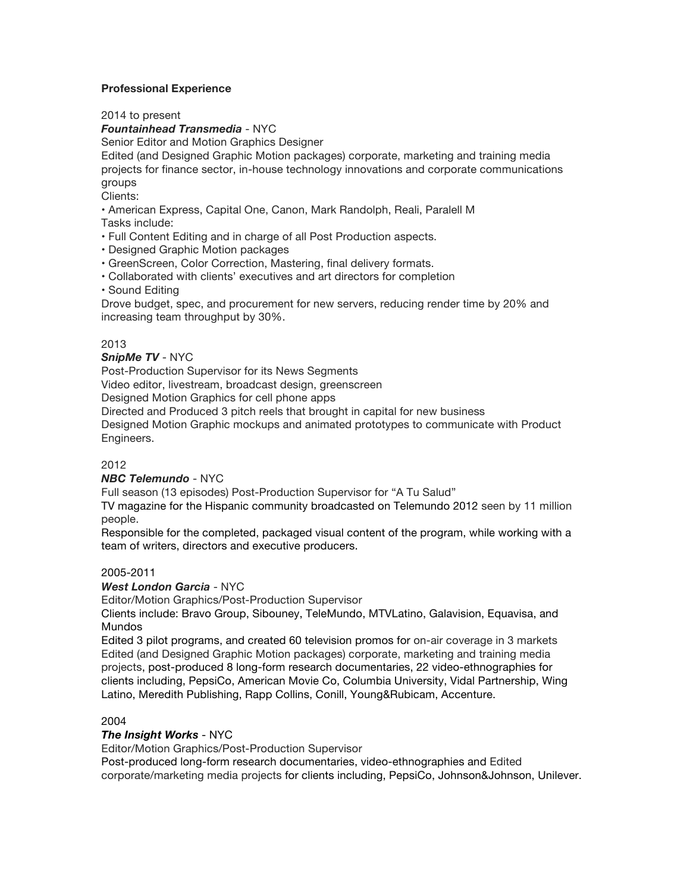## **Professional Experience**

2014 to present

*Fountainhead Transmedia* - NYC

Senior Editor and Motion Graphics Designer

Edited (and Designed Graphic Motion packages) corporate, marketing and training media projects for finance sector, in-house technology innovations and corporate communications groups

Clients:

• American Express, Capital One, Canon, Mark Randolph, Reali, Paralell M Tasks include:

- Full Content Editing and in charge of all Post Production aspects.
- Designed Graphic Motion packages
- GreenScreen, Color Correction, Mastering, final delivery formats.
- Collaborated with clients' executives and art directors for completion
- Sound Editing

Drove budget, spec, and procurement for new servers, reducing render time by 20% and increasing team throughput by 30%.

#### 2013

#### *SnipMe TV* - NYC

Post-Production Supervisor for its News Segments

Video editor, livestream, broadcast design, greenscreen

Designed Motion Graphics for cell phone apps

Directed and Produced 3 pitch reels that brought in capital for new business

Designed Motion Graphic mockups and animated prototypes to communicate with Product Engineers.

#### 2012

#### *NBC Telemundo* - NYC

Full season (13 episodes) Post-Production Supervisor for "A Tu Salud"

TV magazine for the Hispanic community broadcasted on Telemundo 2012 seen by 11 million people.

Responsible for the completed, packaged visual content of the program, while working with a team of writers, directors and executive producers.

#### 2005-2011

# *West London Garcia* - NYC

Editor/Motion Graphics/Post-Production Supervisor

Clients include: Bravo Group, Sibouney, TeleMundo, MTVLatino, Galavision, Equavisa, and Mundos

Edited 3 pilot programs, and created 60 television promos for on-air coverage in 3 markets Edited (and Designed Graphic Motion packages) corporate, marketing and training media projects, post-produced 8 long-form research documentaries, 22 video-ethnographies for clients including, PepsiCo, American Movie Co, Columbia University, Vidal Partnership, Wing Latino, Meredith Publishing, Rapp Collins, Conill, Young&Rubicam, Accenture.

#### 2004

#### *The Insight Works* - NYC

Editor/Motion Graphics/Post-Production Supervisor

Post-produced long-form research documentaries, video-ethnographies and Edited corporate/marketing media projects for clients including, PepsiCo, Johnson&Johnson, Unilever.